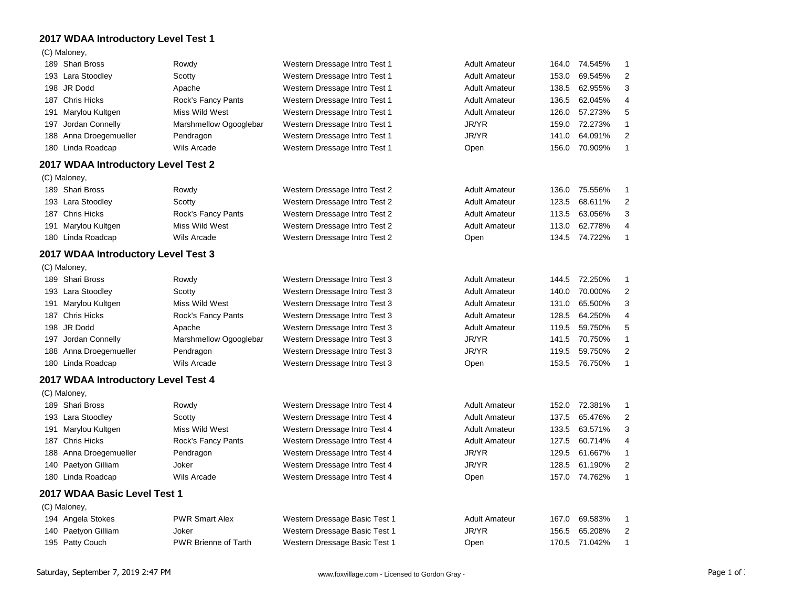## **2017 WDAA Introductory Level Test 1**

(C) Maloney,

|     | $\sigma$ ividioricy.                |                             |                               |                      |       |               |                |
|-----|-------------------------------------|-----------------------------|-------------------------------|----------------------|-------|---------------|----------------|
|     | 189 Shari Bross                     | Rowdy                       | Western Dressage Intro Test 1 | <b>Adult Amateur</b> |       | 164.0 74.545% | 1              |
|     | 193 Lara Stoodley                   | Scotty                      | Western Dressage Intro Test 1 | <b>Adult Amateur</b> | 153.0 | 69.545%       | 2              |
|     | 198 JR Dodd                         | Apache                      | Western Dressage Intro Test 1 | <b>Adult Amateur</b> | 138.5 | 62.955%       | 3              |
|     | 187 Chris Hicks                     | Rock's Fancy Pants          | Western Dressage Intro Test 1 | <b>Adult Amateur</b> | 136.5 | 62.045%       | 4              |
| 191 | Marylou Kultgen                     | Miss Wild West              | Western Dressage Intro Test 1 | <b>Adult Amateur</b> | 126.0 | 57.273%       | 5              |
|     | 197 Jordan Connelly                 | Marshmellow Ogooglebar      | Western Dressage Intro Test 1 | JR/YR                | 159.0 | 72.273%       | 1              |
|     | 188 Anna Droegemueller              | Pendragon                   | Western Dressage Intro Test 1 | JR/YR                | 141.0 | 64.091%       | $\overline{2}$ |
|     | 180 Linda Roadcap                   | Wils Arcade                 | Western Dressage Intro Test 1 | Open                 | 156.0 | 70.909%       | 1              |
|     | 2017 WDAA Introductory Level Test 2 |                             |                               |                      |       |               |                |
|     | (C) Maloney,                        |                             |                               |                      |       |               |                |
|     | 189 Shari Bross                     | Rowdy                       | Western Dressage Intro Test 2 | <b>Adult Amateur</b> | 136.0 | 75.556%       | 1              |
|     | 193 Lara Stoodley                   | Scotty                      | Western Dressage Intro Test 2 | <b>Adult Amateur</b> | 123.5 | 68.611%       | 2              |
|     | 187 Chris Hicks                     | Rock's Fancy Pants          | Western Dressage Intro Test 2 | <b>Adult Amateur</b> | 113.5 | 63.056%       | 3              |
|     | 191 Marylou Kultgen                 | Miss Wild West              | Western Dressage Intro Test 2 | <b>Adult Amateur</b> | 113.0 | 62.778%       | 4              |
|     | 180 Linda Roadcap                   | Wils Arcade                 | Western Dressage Intro Test 2 | Open                 |       | 134.5 74.722% | 1              |
|     | 2017 WDAA Introductory Level Test 3 |                             |                               |                      |       |               |                |
|     | (C) Maloney,                        |                             |                               |                      |       |               |                |
|     | 189 Shari Bross                     | Rowdy                       | Western Dressage Intro Test 3 | <b>Adult Amateur</b> | 144.5 | 72.250%       | 1              |
|     | 193 Lara Stoodley                   | Scotty                      | Western Dressage Intro Test 3 | <b>Adult Amateur</b> | 140.0 | 70.000%       | 2              |
|     | 191 Marylou Kultgen                 | Miss Wild West              | Western Dressage Intro Test 3 | <b>Adult Amateur</b> | 131.0 | 65.500%       | 3              |
|     | 187 Chris Hicks                     | Rock's Fancy Pants          | Western Dressage Intro Test 3 | <b>Adult Amateur</b> | 128.5 | 64.250%       | 4              |
|     | 198 JR Dodd                         | Apache                      | Western Dressage Intro Test 3 | <b>Adult Amateur</b> | 119.5 | 59.750%       | 5              |
|     | 197 Jordan Connelly                 | Marshmellow Ogooglebar      | Western Dressage Intro Test 3 | JR/YR                | 141.5 | 70.750%       | 1              |
|     | 188 Anna Droegemueller              | Pendragon                   | Western Dressage Intro Test 3 | JR/YR                | 119.5 | 59.750%       | 2              |
|     | 180 Linda Roadcap                   | Wils Arcade                 | Western Dressage Intro Test 3 | Open                 |       | 153.5 76.750% | 1              |
|     | 2017 WDAA Introductory Level Test 4 |                             |                               |                      |       |               |                |
|     | (C) Maloney,                        |                             |                               |                      |       |               |                |
|     | 189 Shari Bross                     | Rowdy                       | Western Dressage Intro Test 4 | <b>Adult Amateur</b> |       | 152.0 72.381% | 1              |
|     | 193 Lara Stoodley                   | Scotty                      | Western Dressage Intro Test 4 | <b>Adult Amateur</b> | 137.5 | 65.476%       | 2              |
|     | 191 Marylou Kultgen                 | Miss Wild West              | Western Dressage Intro Test 4 | <b>Adult Amateur</b> | 133.5 | 63.571%       | 3              |
|     | 187 Chris Hicks                     | Rock's Fancy Pants          | Western Dressage Intro Test 4 | <b>Adult Amateur</b> | 127.5 | 60.714%       | 4              |
|     | 188 Anna Droegemueller              | Pendragon                   | Western Dressage Intro Test 4 | JR/YR                | 129.5 | 61.667%       | 1              |
| 140 | Paetyon Gilliam                     | Joker                       | Western Dressage Intro Test 4 | JR/YR                | 128.5 | 61.190%       | 2              |
|     | 180 Linda Roadcap                   | Wils Arcade                 | Western Dressage Intro Test 4 | Open                 | 157.0 | 74.762%       | 1              |
|     | 2017 WDAA Basic Level Test 1        |                             |                               |                      |       |               |                |
|     | (C) Maloney,                        |                             |                               |                      |       |               |                |
|     | 194 Angela Stokes                   | <b>PWR Smart Alex</b>       | Western Dressage Basic Test 1 | <b>Adult Amateur</b> | 167.0 | 69.583%       | 1              |
|     | 140 Paetyon Gilliam                 | Joker                       | Western Dressage Basic Test 1 | JR/YR                | 156.5 | 65.208%       | 2              |
|     | 195 Patty Couch                     | <b>PWR Brienne of Tarth</b> | Western Dressage Basic Test 1 | Open                 |       | 170.5 71.042% | 1              |
|     |                                     |                             |                               |                      |       |               |                |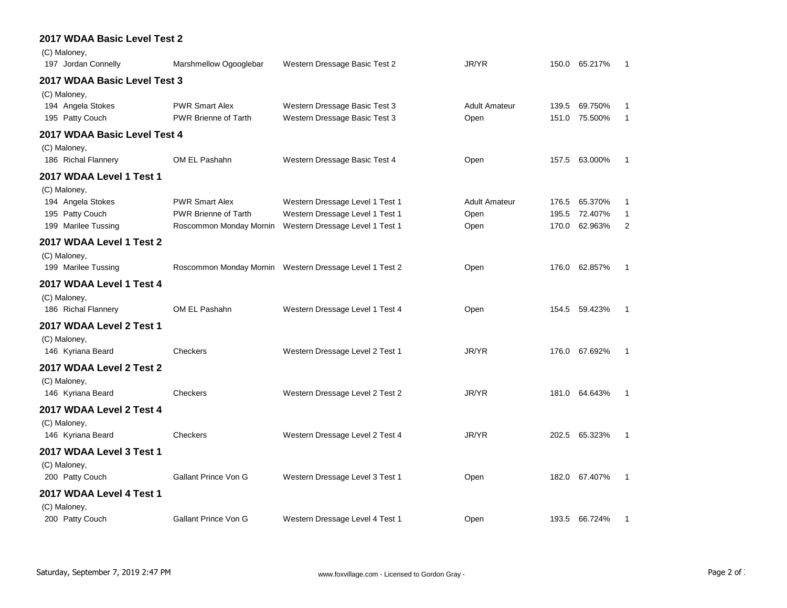| 2017 WDAA Basic Level Test 2        |                             |                                                         |                      |       |               |              |
|-------------------------------------|-----------------------------|---------------------------------------------------------|----------------------|-------|---------------|--------------|
| (C) Maloney,<br>197 Jordan Connelly | Marshmellow Ogooglebar      | Western Dressage Basic Test 2                           | JR/YR                |       | 150.0 65.217% | $\mathbf{1}$ |
| 2017 WDAA Basic Level Test 3        |                             |                                                         |                      |       |               |              |
| (C) Maloney,                        |                             |                                                         |                      |       |               |              |
| 194 Angela Stokes                   | <b>PWR Smart Alex</b>       | Western Dressage Basic Test 3                           | <b>Adult Amateur</b> | 139.5 | 69.750%       | 1            |
| 195 Patty Couch                     | <b>PWR Brienne of Tarth</b> | Western Dressage Basic Test 3                           | Open                 |       | 151.0 75.500% | $\mathbf{1}$ |
| 2017 WDAA Basic Level Test 4        |                             |                                                         |                      |       |               |              |
| (C) Maloney,                        |                             |                                                         |                      |       |               |              |
| 186 Richal Flannery                 | OM EL Pashahn               | Western Dressage Basic Test 4                           | Open                 |       | 157.5 63.000% | $\mathbf{1}$ |
| 2017 WDAA Level 1 Test 1            |                             |                                                         |                      |       |               |              |
| (C) Maloney,                        |                             |                                                         |                      |       |               |              |
| 194 Angela Stokes                   | <b>PWR Smart Alex</b>       | Western Dressage Level 1 Test 1                         | <b>Adult Amateur</b> | 176.5 | 65.370%       | 1            |
| 195 Patty Couch                     | PWR Brienne of Tarth        | Western Dressage Level 1 Test 1                         | Open                 | 195.5 | 72.407%       | 1            |
| 199 Marilee Tussing                 | Roscommon Monday Mornin     | Western Dressage Level 1 Test 1                         | Open                 |       | 170.0 62.963% | 2            |
| 2017 WDAA Level 1 Test 2            |                             |                                                         |                      |       |               |              |
| (C) Maloney,                        |                             |                                                         |                      |       |               |              |
| 199 Marilee Tussing                 |                             | Roscommon Monday Mornin Western Dressage Level 1 Test 2 | Open                 |       | 176.0 62.857% | $\mathbf{1}$ |
| 2017 WDAA Level 1 Test 4            |                             |                                                         |                      |       |               |              |
| (C) Maloney,                        |                             |                                                         |                      |       |               |              |
| 186 Richal Flannery                 | OM EL Pashahn               | Western Dressage Level 1 Test 4                         | Open                 |       | 154.5 59.423% | $\mathbf{1}$ |
| 2017 WDAA Level 2 Test 1            |                             |                                                         |                      |       |               |              |
| (C) Maloney,                        |                             |                                                         |                      |       |               |              |
| 146 Kyriana Beard                   | Checkers                    | Western Dressage Level 2 Test 1                         | JR/YR                |       | 176.0 67.692% | $\mathbf{1}$ |
| 2017 WDAA Level 2 Test 2            |                             |                                                         |                      |       |               |              |
| (C) Maloney,                        |                             |                                                         |                      |       |               |              |
| 146 Kyriana Beard                   | Checkers                    | Western Dressage Level 2 Test 2                         | JR/YR                |       | 181.0 64.643% | $\mathbf{1}$ |
| 2017 WDAA Level 2 Test 4            |                             |                                                         |                      |       |               |              |
| (C) Maloney,                        |                             |                                                         |                      |       |               |              |
| 146 Kyriana Beard                   | Checkers                    | Western Dressage Level 2 Test 4                         | JR/YR                |       | 202.5 65.323% | $\mathbf{1}$ |
| 2017 WDAA Level 3 Test 1            |                             |                                                         |                      |       |               |              |
| (C) Maloney,                        |                             |                                                         |                      |       |               |              |
| 200 Patty Couch                     | <b>Gallant Prince Von G</b> | Western Dressage Level 3 Test 1                         | Open                 |       | 182.0 67.407% | 1            |
| 2017 WDAA Level 4 Test 1            |                             |                                                         |                      |       |               |              |
| (C) Maloney,                        |                             |                                                         |                      |       |               |              |
| 200 Patty Couch                     | <b>Gallant Prince Von G</b> | Western Dressage Level 4 Test 1                         | Open                 |       | 193.5 66.724% | $\mathbf{1}$ |